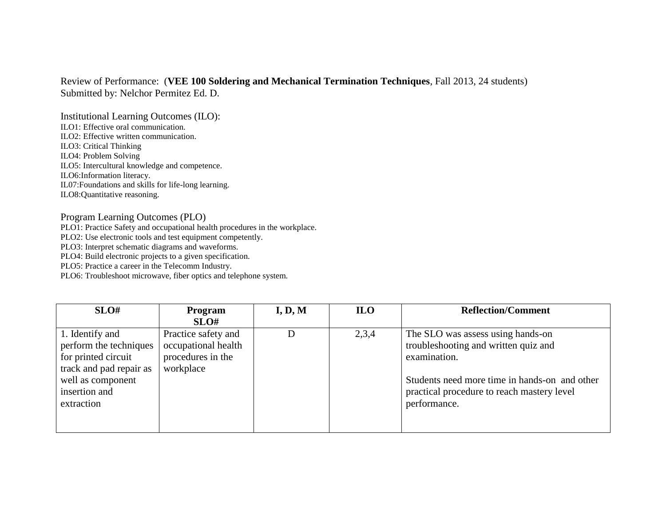## Review of Performance: (**VEE 100 Soldering and Mechanical Termination Techniques**, Fall 2013, 24 students) Submitted by: Nelchor Permitez Ed. D.

Institutional Learning Outcomes (ILO): ILO1: Effective oral communication. ILO2: Effective written communication. ILO3: Critical Thinking ILO4: Problem Solving ILO5: Intercultural knowledge and competence. ILO6:Information literacy. IL07:Foundations and skills for life-long learning. ILO8:Quantitative reasoning.

## Program Learning Outcomes (PLO)

PLO1: Practice Safety and occupational health procedures in the workplace.

PLO2: Use electronic tools and test equipment competently.

PLO3: Interpret schematic diagrams and waveforms.

PLO4: Build electronic projects to a given specification.

PLO5: Practice a career in the Telecomm Industry.

PLO6: Troubleshoot microwave, fiber optics and telephone system.

| SLO#                    | <b>Program</b>      | I, D, M | <b>ILO</b> | <b>Reflection/Comment</b>                     |
|-------------------------|---------------------|---------|------------|-----------------------------------------------|
|                         | SLO#                |         |            |                                               |
| 1. Identify and         | Practice safety and |         | 2,3,4      | The SLO was assess using hands-on             |
| perform the techniques  | occupational health |         |            | troubleshooting and written quiz and          |
| for printed circuit     | procedures in the   |         |            | examination.                                  |
| track and pad repair as | workplace           |         |            |                                               |
| well as component       |                     |         |            | Students need more time in hands-on and other |
| insertion and           |                     |         |            | practical procedure to reach mastery level    |
| extraction              |                     |         |            | performance.                                  |
|                         |                     |         |            |                                               |
|                         |                     |         |            |                                               |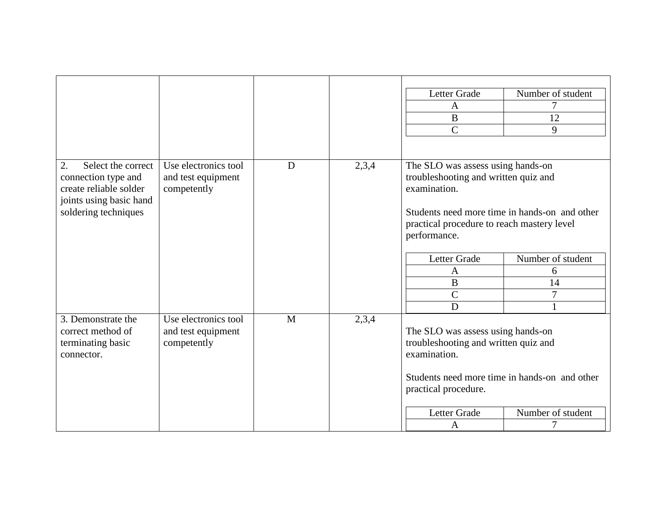|                                                                                                                              |                                                           |   |       | Letter Grade<br>$\mathbf{A}$<br>$\bf{B}$<br>$\mathbf C$                                                                                                                                                                                                         | Number of student<br>7<br>12<br>9      |
|------------------------------------------------------------------------------------------------------------------------------|-----------------------------------------------------------|---|-------|-----------------------------------------------------------------------------------------------------------------------------------------------------------------------------------------------------------------------------------------------------------------|----------------------------------------|
| 2.<br>Select the correct<br>connection type and<br>create reliable solder<br>joints using basic hand<br>soldering techniques | Use electronics tool<br>and test equipment<br>competently | D | 2,3,4 | The SLO was assess using hands-on<br>troubleshooting and written quiz and<br>examination.<br>Students need more time in hands-on and other<br>practical procedure to reach mastery level<br>performance.<br>Letter Grade<br>A<br>$\bf{B}$<br>$\mathcal{C}$<br>D | Number of student<br>6<br>14<br>7<br>1 |
| 3. Demonstrate the<br>correct method of<br>terminating basic<br>connector.                                                   | Use electronics tool<br>and test equipment<br>competently | M | 2,3,4 | The SLO was assess using hands-on<br>troubleshooting and written quiz and<br>examination.<br>Students need more time in hands-on and other<br>practical procedure.<br>Letter Grade<br>Number of student<br>7<br>A                                               |                                        |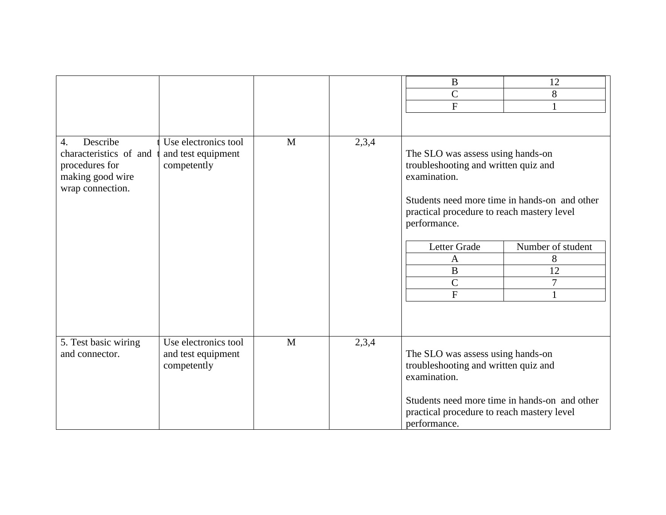| Describe<br>4.<br>characteristics of and               | Use electronics tool<br>and test equipment                | $\mathbf{M}$ | 2,3,4 | $\bf{B}$<br>$\mathcal{C}$<br>$\boldsymbol{\mathrm{F}}$<br>The SLO was assess using hands-on                                                                                                              | 12<br>8<br>1           |
|--------------------------------------------------------|-----------------------------------------------------------|--------------|-------|----------------------------------------------------------------------------------------------------------------------------------------------------------------------------------------------------------|------------------------|
| procedures for<br>making good wire<br>wrap connection. | competently                                               |              |       | troubleshooting and written quiz and<br>examination.<br>Students need more time in hands-on and other<br>practical procedure to reach mastery level<br>performance.<br>Letter Grade<br>Number of student |                        |
|                                                        |                                                           |              |       | A<br>$\bf{B}$<br>$\overline{C}$<br>$\mathbf{F}$                                                                                                                                                          | 8<br>12<br>$\tau$<br>1 |
| 5. Test basic wiring<br>and connector.                 | Use electronics tool<br>and test equipment<br>competently | M            | 2,3,4 | The SLO was assess using hands-on<br>troubleshooting and written quiz and<br>examination.<br>Students need more time in hands-on and other<br>practical procedure to reach mastery level<br>performance. |                        |